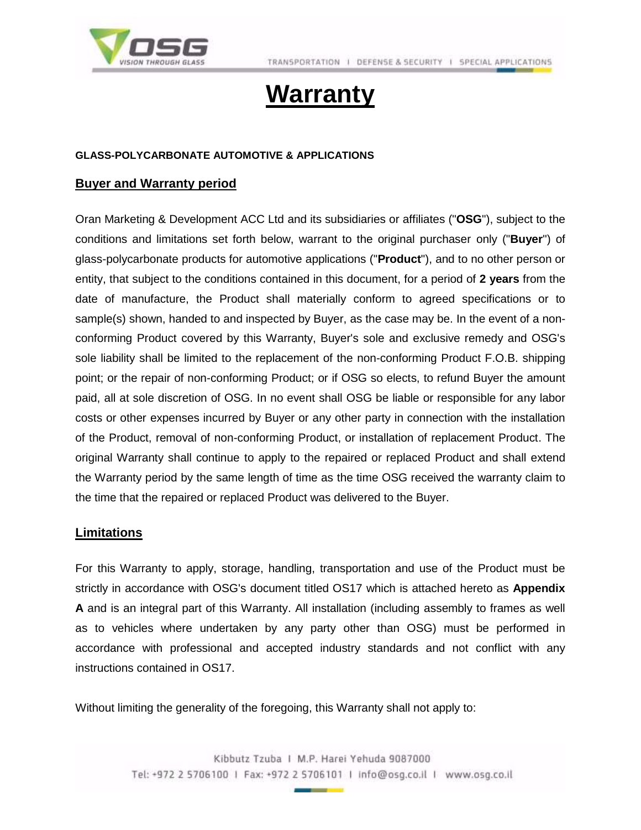

## **Warranty**

#### **GLASS-POLYCARBONATE AUTOMOTIVE & APPLICATIONS**

#### **Buyer and Warranty period**

Oran Marketing & Development ACC Ltd and its subsidiaries or affiliates ("**OSG**"), subject to the conditions and limitations set forth below, warrant to the original purchaser only ("**Buyer**") of glass-polycarbonate products for automotive applications ("**Product**"), and to no other person or entity, that subject to the conditions contained in this document, for a period of **2 years** from the date of manufacture, the Product shall materially conform to agreed specifications or to sample(s) shown, handed to and inspected by Buyer, as the case may be. In the event of a nonconforming Product covered by this Warranty, Buyer's sole and exclusive remedy and OSG's sole liability shall be limited to the replacement of the non-conforming Product F.O.B. shipping point; or the repair of non-conforming Product; or if OSG so elects, to refund Buyer the amount paid, all at sole discretion of OSG. In no event shall OSG be liable or responsible for any labor costs or other expenses incurred by Buyer or any other party in connection with the installation of the Product, removal of non-conforming Product, or installation of replacement Product. The original Warranty shall continue to apply to the repaired or replaced Product and shall extend the Warranty period by the same length of time as the time OSG received the warranty claim to the time that the repaired or replaced Product was delivered to the Buyer.

#### **Limitations**

For this Warranty to apply, storage, handling, transportation and use of the Product must be strictly in accordance with OSG's document titled OS17 which is attached hereto as **Appendix A** and is an integral part of this Warranty. All installation (including assembly to frames as well as to vehicles where undertaken by any party other than OSG) must be performed in accordance with professional and accepted industry standards and not conflict with any instructions contained in OS17.

Without limiting the generality of the foregoing, this Warranty shall not apply to: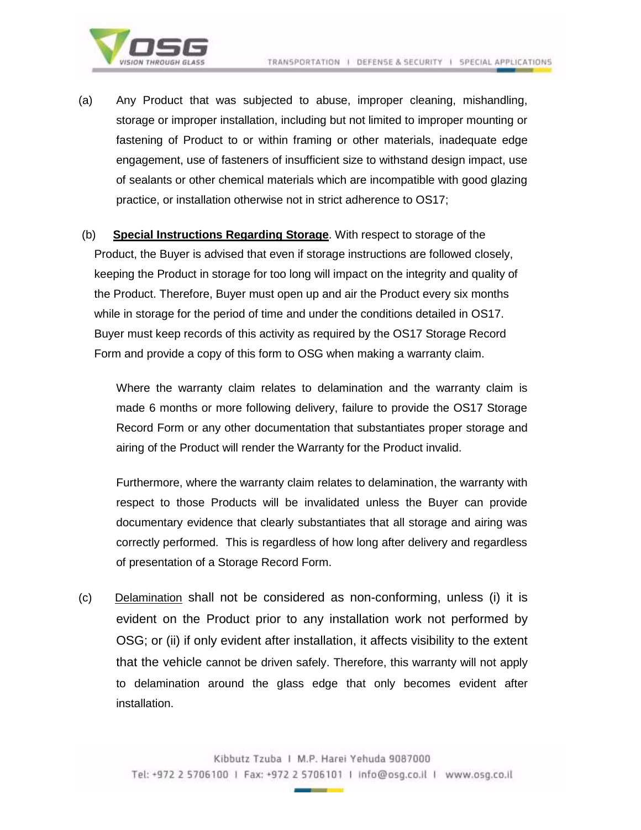

(a) Any Product that was subjected to abuse, improper cleaning, mishandling, storage or improper installation, including but not limited to improper mounting or fastening of Product to or within framing or other materials, inadequate edge engagement, use of fasteners of insufficient size to withstand design impact, use of sealants or other chemical materials which are incompatible with good glazing practice, or installation otherwise not in strict adherence to OS17;

(b) **Special Instructions Regarding Storage**. With respect to storage of the Product, the Buyer is advised that even if storage instructions are followed closely, keeping the Product in storage for too long will impact on the integrity and quality of the Product. Therefore, Buyer must open up and air the Product every six months while in storage for the period of time and under the conditions detailed in OS17. Buyer must keep records of this activity as required by the OS17 Storage Record Form and provide a copy of this form to OSG when making a warranty claim.

Where the warranty claim relates to delamination and the warranty claim is made 6 months or more following delivery, failure to provide the OS17 Storage Record Form or any other documentation that substantiates proper storage and airing of the Product will render the Warranty for the Product invalid.

Furthermore, where the warranty claim relates to delamination, the warranty with respect to those Products will be invalidated unless the Buyer can provide documentary evidence that clearly substantiates that all storage and airing was correctly performed. This is regardless of how long after delivery and regardless of presentation of a Storage Record Form.

(c) Delamination shall not be considered as non-conforming, unless (i) it is evident on the Product prior to any installation work not performed by OSG; or (ii) if only evident after installation, it affects visibility to the extent that the vehicle cannot be driven safely. Therefore, this warranty will not apply to delamination around the glass edge that only becomes evident after installation.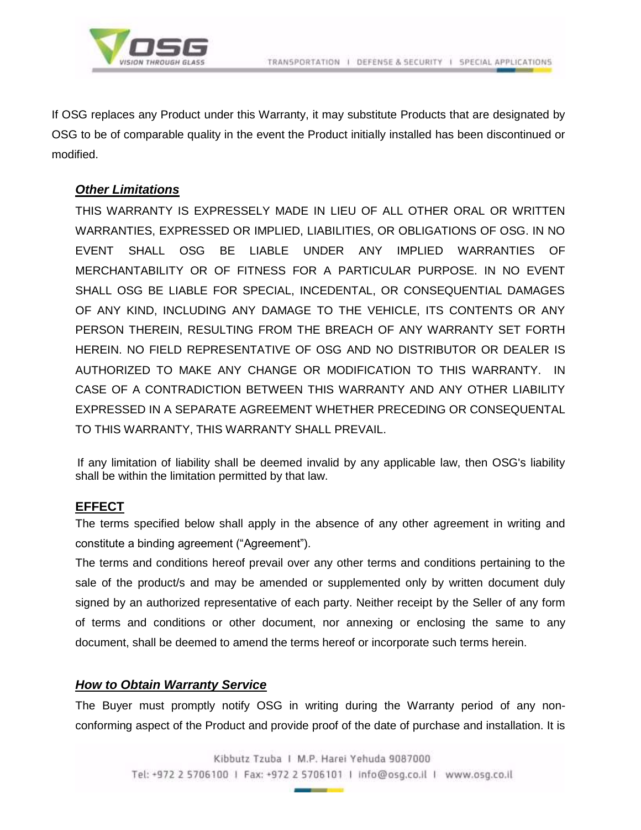

If OSG replaces any Product under this Warranty, it may substitute Products that are designated by OSG to be of comparable quality in the event the Product initially installed has been discontinued or modified.

#### *Other Limitations*

THIS WARRANTY IS EXPRESSELY MADE IN LIEU OF ALL OTHER ORAL OR WRITTEN WARRANTIES, EXPRESSED OR IMPLIED, LIABILITIES, OR OBLIGATIONS OF OSG. IN NO EVENT SHALL OSG BE LIABLE UNDER ANY IMPLIED WARRANTIES OF MERCHANTABILITY OR OF FITNESS FOR A PARTICULAR PURPOSE. IN NO EVENT SHALL OSG BE LIABLE FOR SPECIAL, INCEDENTAL, OR CONSEQUENTIAL DAMAGES OF ANY KIND, INCLUDING ANY DAMAGE TO THE VEHICLE, ITS CONTENTS OR ANY PERSON THEREIN, RESULTING FROM THE BREACH OF ANY WARRANTY SET FORTH HEREIN. NO FIELD REPRESENTATIVE OF OSG AND NO DISTRIBUTOR OR DEALER IS AUTHORIZED TO MAKE ANY CHANGE OR MODIFICATION TO THIS WARRANTY. IN CASE OF A CONTRADICTION BETWEEN THIS WARRANTY AND ANY OTHER LIABILITY EXPRESSED IN A SEPARATE AGREEMENT WHETHER PRECEDING OR CONSEQUENTAL TO THIS WARRANTY, THIS WARRANTY SHALL PREVAIL.

 If any limitation of liability shall be deemed invalid by any applicable law, then OSG's liability shall be within the limitation permitted by that law.

#### **EFFECT**

The terms specified below shall apply in the absence of any other agreement in writing and constitute a binding agreement ("Agreement").

The terms and conditions hereof prevail over any other terms and conditions pertaining to the sale of the product/s and may be amended or supplemented only by written document duly signed by an authorized representative of each party. Neither receipt by the Seller of any form of terms and conditions or other document, nor annexing or enclosing the same to any document, shall be deemed to amend the terms hereof or incorporate such terms herein.

#### *How to Obtain Warranty Service*

The Buyer must promptly notify OSG in writing during the Warranty period of any nonconforming aspect of the Product and provide proof of the date of purchase and installation. It is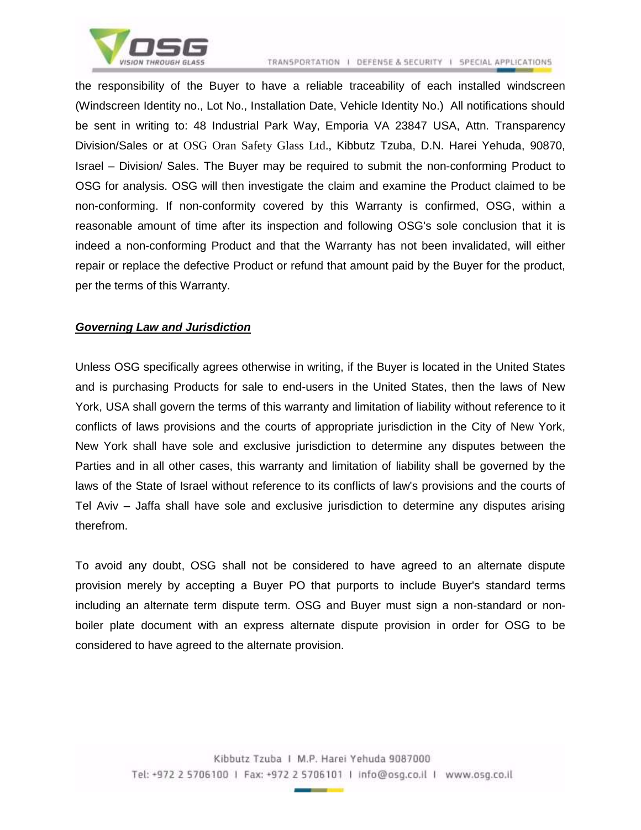

the responsibility of the Buyer to have a reliable traceability of each installed windscreen (Windscreen Identity no., Lot No., Installation Date, Vehicle Identity No.) All notifications should be sent in writing to: 48 Industrial Park Way, Emporia VA 23847 USA, Attn. Transparency Division/Sales or at OSG Oran Safety Glass Ltd., Kibbutz Tzuba, D.N. Harei Yehuda, 90870, Israel – Division/ Sales. The Buyer may be required to submit the non-conforming Product to OSG for analysis. OSG will then investigate the claim and examine the Product claimed to be non-conforming. If non-conformity covered by this Warranty is confirmed, OSG, within a reasonable amount of time after its inspection and following OSG's sole conclusion that it is indeed a non-conforming Product and that the Warranty has not been invalidated, will either repair or replace the defective Product or refund that amount paid by the Buyer for the product, per the terms of this Warranty.

#### *Governing Law and Jurisdiction*

Unless OSG specifically agrees otherwise in writing, if the Buyer is located in the United States and is purchasing Products for sale to end-users in the United States, then the laws of New York, USA shall govern the terms of this warranty and limitation of liability without reference to it conflicts of laws provisions and the courts of appropriate jurisdiction in the City of New York, New York shall have sole and exclusive jurisdiction to determine any disputes between the Parties and in all other cases, this warranty and limitation of liability shall be governed by the laws of the State of Israel without reference to its conflicts of law's provisions and the courts of Tel Aviv – Jaffa shall have sole and exclusive jurisdiction to determine any disputes arising therefrom.

To avoid any doubt, OSG shall not be considered to have agreed to an alternate dispute provision merely by accepting a Buyer PO that purports to include Buyer's standard terms including an alternate term dispute term. OSG and Buyer must sign a non-standard or nonboiler plate document with an express alternate dispute provision in order for OSG to be considered to have agreed to the alternate provision.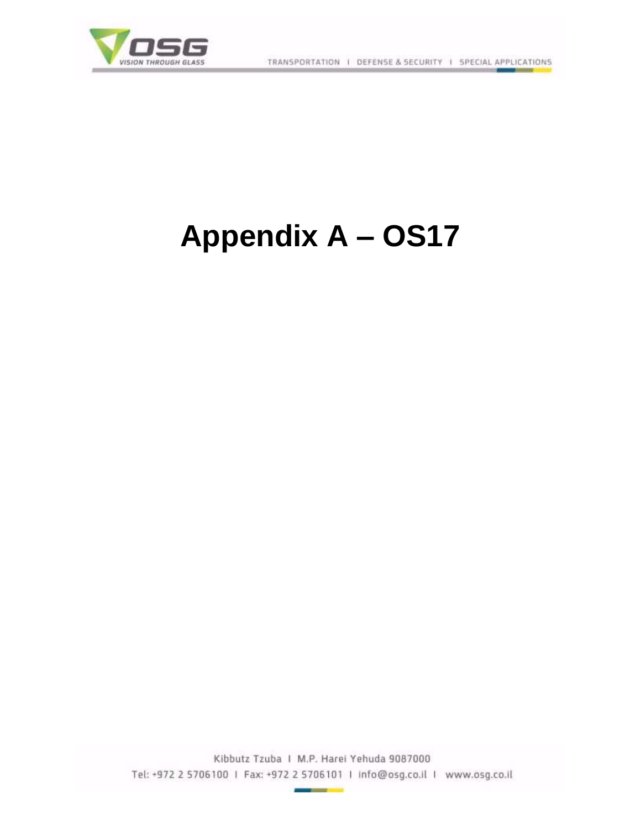

# **Appendix A – OS17**

Kibbutz Tzuba I M.P. Harei Yehuda 9087000 Tel: +972 2 5706100 | Fax: +972 2 5706101 | Info@osg.co.il | www.osg.co.il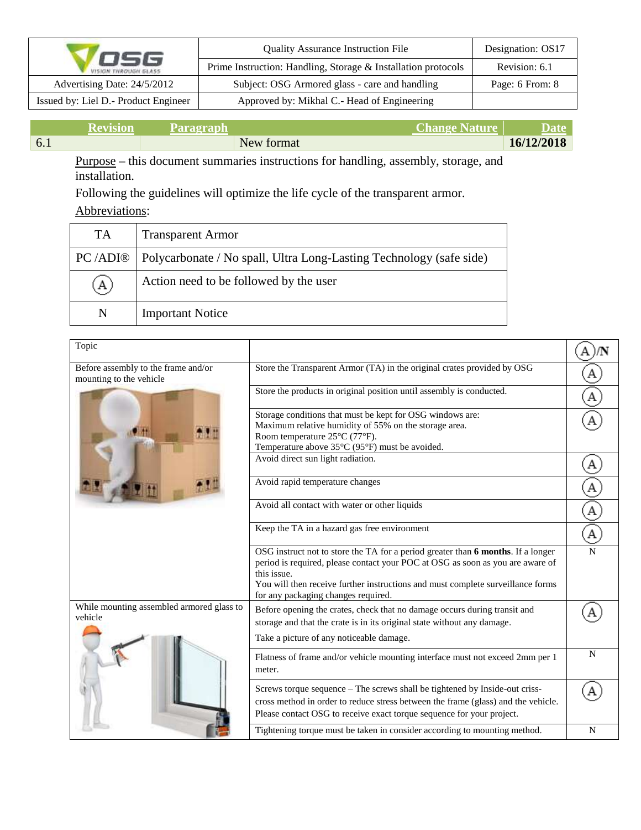|                                      | <b>Quality Assurance Instruction File</b>                     | Designation: OS17 |  |
|--------------------------------------|---------------------------------------------------------------|-------------------|--|
| OSG<br><b>VISION THROUGH GLASS</b>   | Prime Instruction: Handling, Storage & Installation protocols | Revision: 6.1     |  |
| Advertising Date: 24/5/2012          | Subject: OSG Armored glass - care and handling                | Page: 6 From: 8   |  |
| Issued by: Liel D.- Product Engineer | Approved by: Mikhal C.- Head of Engineering                   |                   |  |

|     | Kevi | Paragraph |            | <b>Change Nature</b> | Date       |
|-----|------|-----------|------------|----------------------|------------|
| 6.1 |      |           | New format |                      | 16/12/2018 |

Purpose **–** this document summaries instructions for handling, assembly, storage, and installation.

Following the guidelines will optimize the life cycle of the transparent armor.

### Abbreviations:

| TA       | <b>Transparent Armor</b>                                            |
|----------|---------------------------------------------------------------------|
| PC /ADI® | Polycarbonate / No spall, Ultra Long-Lasting Technology (safe side) |
| $\Delta$ | Action need to be followed by the user                              |
| N        | <b>Important Notice</b>                                             |

| Topic                                                          |                                                                                                                                                                                                                                                                                                             |             |
|----------------------------------------------------------------|-------------------------------------------------------------------------------------------------------------------------------------------------------------------------------------------------------------------------------------------------------------------------------------------------------------|-------------|
| Before assembly to the frame and/or<br>mounting to the vehicle | Store the Transparent Armor (TA) in the original crates provided by OSG                                                                                                                                                                                                                                     |             |
|                                                                | Store the products in original position until assembly is conducted.                                                                                                                                                                                                                                        |             |
|                                                                | Storage conditions that must be kept for OSG windows are:<br>Maximum relative humidity of 55% on the storage area.<br>Room temperature 25°C (77°F).<br>Temperature above 35°C (95°F) must be avoided.                                                                                                       |             |
|                                                                | Avoid direct sun light radiation.                                                                                                                                                                                                                                                                           |             |
|                                                                | Avoid rapid temperature changes                                                                                                                                                                                                                                                                             |             |
|                                                                | Avoid all contact with water or other liquids                                                                                                                                                                                                                                                               |             |
|                                                                | Keep the TA in a hazard gas free environment                                                                                                                                                                                                                                                                |             |
|                                                                | OSG instruct not to store the TA for a period greater than 6 months. If a longer<br>period is required, please contact your POC at OSG as soon as you are aware of<br>this issue.<br>You will then receive further instructions and must complete surveillance forms<br>for any packaging changes required. |             |
| While mounting assembled armored glass to<br>vehicle           | Before opening the crates, check that no damage occurs during transit and<br>storage and that the crate is in its original state without any damage.                                                                                                                                                        |             |
|                                                                | Take a picture of any noticeable damage.                                                                                                                                                                                                                                                                    |             |
|                                                                | Flatness of frame and/or vehicle mounting interface must not exceed 2mm per 1<br>meter.                                                                                                                                                                                                                     | $\mathbf N$ |
|                                                                | Screws torque sequence - The screws shall be tightened by Inside-out criss-<br>cross method in order to reduce stress between the frame (glass) and the vehicle.<br>Please contact OSG to receive exact torque sequence for your project.                                                                   |             |
|                                                                | Tightening torque must be taken in consider according to mounting method.                                                                                                                                                                                                                                   | N           |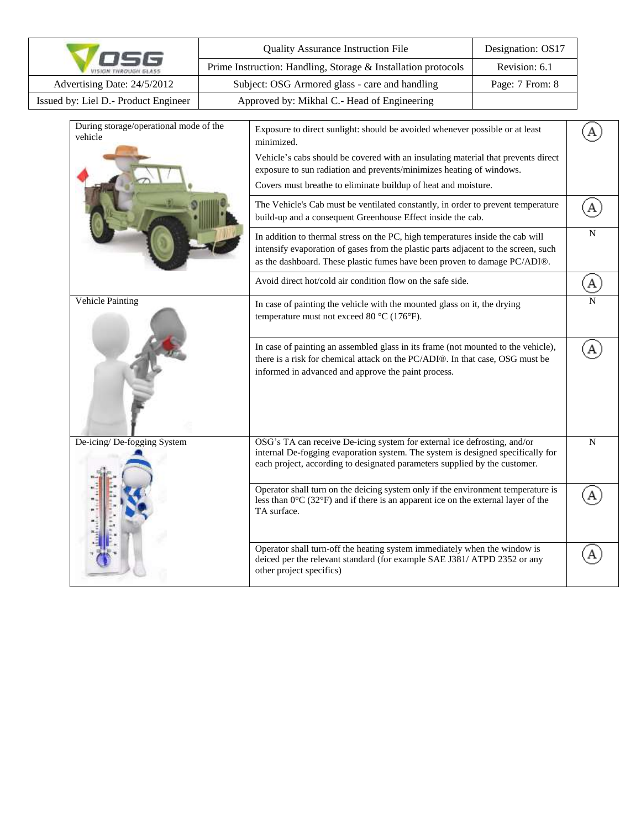|                                                   |                                                                                | <b>Quality Assurance Instruction File</b>                                                                                                                                                                                                                                                                                 | Designation: OS17 |             |
|---------------------------------------------------|--------------------------------------------------------------------------------|---------------------------------------------------------------------------------------------------------------------------------------------------------------------------------------------------------------------------------------------------------------------------------------------------------------------------|-------------------|-------------|
|                                                   | Prime Instruction: Handling, Storage & Installation protocols<br>Revision: 6.1 |                                                                                                                                                                                                                                                                                                                           |                   |             |
| Advertising Date: 24/5/2012                       |                                                                                | Subject: OSG Armored glass - care and handling                                                                                                                                                                                                                                                                            | Page: 7 From: 8   |             |
| Issued by: Liel D.- Product Engineer              |                                                                                | Approved by: Mikhal C.- Head of Engineering                                                                                                                                                                                                                                                                               |                   |             |
| During storage/operational mode of the<br>vehicle |                                                                                | Exposure to direct sunlight: should be avoided whenever possible or at least<br>minimized.<br>Vehicle's cabs should be covered with an insulating material that prevents direct<br>exposure to sun radiation and prevents/minimizes heating of windows.<br>Covers must breathe to eliminate buildup of heat and moisture. |                   |             |
|                                                   |                                                                                | The Vehicle's Cab must be ventilated constantly, in order to prevent temperature<br>build-up and a consequent Greenhouse Effect inside the cab.                                                                                                                                                                           |                   |             |
|                                                   |                                                                                | In addition to thermal stress on the PC, high temperatures inside the cab will<br>intensify evaporation of gases from the plastic parts adjacent to the screen, such<br>as the dashboard. These plastic fumes have been proven to damage PC/ADI®.                                                                         |                   | $\mathbf N$ |
|                                                   |                                                                                | Avoid direct hot/cold air condition flow on the safe side.                                                                                                                                                                                                                                                                |                   |             |
| Vehicle Painting                                  |                                                                                | In case of painting the vehicle with the mounted glass on it, the drying<br>temperature must not exceed 80 °C (176°F).                                                                                                                                                                                                    |                   |             |
|                                                   |                                                                                | In case of painting an assembled glass in its frame (not mounted to the vehicle),<br>there is a risk for chemical attack on the PC/ADI®. In that case, OSG must be<br>informed in advanced and approve the paint process.                                                                                                 |                   | А           |
| De-icing/ De-fogging System                       |                                                                                | OSG's TA can receive De-icing system for external ice defrosting, and/or<br>internal De-fogging evaporation system. The system is designed specifically for<br>each project, according to designated parameters supplied by the customer.                                                                                 |                   | ${\bf N}$   |
|                                                   |                                                                                | Operator shall turn on the deicing system only if the environment temperature is<br>less than $0^{\circ}$ C (32 $^{\circ}$ F) and if there is an apparent ice on the external layer of the<br>TA surface.                                                                                                                 |                   |             |
|                                                   |                                                                                | Operator shall turn-off the heating system immediately when the window is<br>deiced per the relevant standard (for example SAE J381/ ATPD 2352 or any<br>other project specifics)                                                                                                                                         |                   |             |